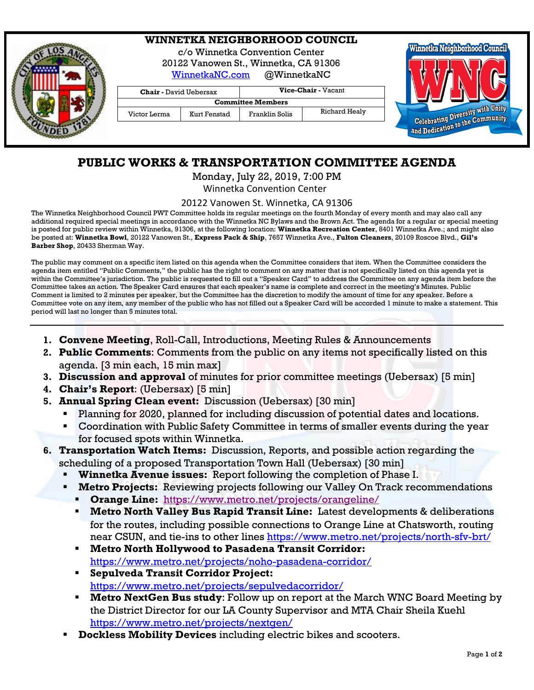|  | <b>WINNETKA NEIGHBORHOOD COUNCIL</b><br>c/o Winnetka Convention Center<br>20122 Vanowen St., Winnetka, CA 91306<br>@WinnetkaNC<br>WinnetkaNC.com |              |                     | Winnetka Neighborhood Council |                                                                     |
|--|--------------------------------------------------------------------------------------------------------------------------------------------------|--------------|---------------------|-------------------------------|---------------------------------------------------------------------|
|  | <b>Chair</b> - David Uebersax                                                                                                                    |              | Vice-Chair - Vacant |                               |                                                                     |
|  | <b>Committee Members</b>                                                                                                                         |              |                     |                               |                                                                     |
|  | Victor Lerma                                                                                                                                     | Kurt Fenstad | Franklin Solis      | Richard Healy                 |                                                                     |
|  |                                                                                                                                                  |              |                     |                               | Celebrating Diversity with Unity<br>and Dedication to the Community |

## **PUBLIC WORKS & TRANSPORTATION COMMITTEE AGENDA**

Monday, July 22, 2019, 7:00 PM Winnetka Convention Center

20122 Vanowen St. Winnetka, CA 91306

The Winnetka Neighborhood Council PWT Committee holds its regular meetings on the fourth Monday of every month and may also call any additional required special meetings in accordance with the Winnetka NC Bylaws and the Brown Act. The agenda for a regular or special meeting is posted for public review within Winnetka, 91306, at the following location: **Winnetka Recreation Center**, 8401 Winnetka Ave.; and might also be posted at: **Winnetka Bowl**, 20122 Vanowen St., **Express Pack & Ship**, 7657 Winnetka Ave., **Fulton Cleaners**, 20109 Roscoe Blvd., **Gil's Barber Shop**, 20433 Sherman Way.

The public may comment on a specific item listed on this agenda when the Committee considers that item. When the Committee considers the agenda item entitled "Public Comments," the public has the right to comment on any matter that is not specifically listed on this agenda yet is within the Committee's jurisdiction. The public is requested to fill out a "Speaker Card" to address the Committee on any agenda item before the Committee takes an action. The Speaker Card ensures that each speaker's name is complete and correct in the meeting's Minutes. Public Comment is limited to 2 minutes per speaker, but the Committee has the discretion to modify the amount of time for any speaker. Before a Committee vote on any item, any member of the public who has not filled out a Speaker Card will be accorded 1 minute to make a statement. This period will last no longer than 5 minutes total.

- **1. Convene Meeting**, Roll-Call, Introductions, Meeting Rules & Announcements
- **2. Public Comments**: Comments from the public on any items not specifically listed on this agenda. [3 min each, 15 min max]
- **3. Discussion and approval** of minutes for prior committee meetings (Uebersax) [5 min]
- **4. Chair's Report**: (Uebersax) [5 min]
- **5. Annual Spring Clean event:** Discussion (Uebersax) [30 min]
	- Planning for 2020, planned for including discussion of potential dates and locations.
	- Coordination with Public Safety Committee in terms of smaller events during the year for focused spots within Winnetka.
- **6. Transportation Watch Items:** Discussion, Reports, and possible action regarding the scheduling of a proposed Transportation Town Hall (Uebersax) [30 min]
	- **Winnetka Avenue issues:** Report following the completion of Phase I.
	- **Metro Projects:** Reviewing projects following our Valley On Track recommendations
		- **Orange Line:** <https://www.metro.net/projects/orangeline/>
		- **Metro North Valley Bus Rapid Transit Line:** Latest developments & deliberations for the routes, including possible connections to Orange Line at Chatsworth, routing near CSUN, and tie-ins to other lines <https://www.metro.net/projects/north-sfv-brt/>
		- **Metro North Hollywood to Pasadena Transit Corridor:** <https://www.metro.net/projects/noho-pasadena-corridor/>
		- **Sepulveda Transit Corridor Project:**  <https://www.metro.net/projects/sepulvedacorridor/>
		- **Metro NextGen Bus study**: Follow up on report at the March WNC Board Meeting by the District Director for our LA County Supervisor and MTA Chair Sheila Kuehl <https://www.metro.net/projects/nextgen/>
	- **Dockless Mobility Devices** including electric bikes and scooters.